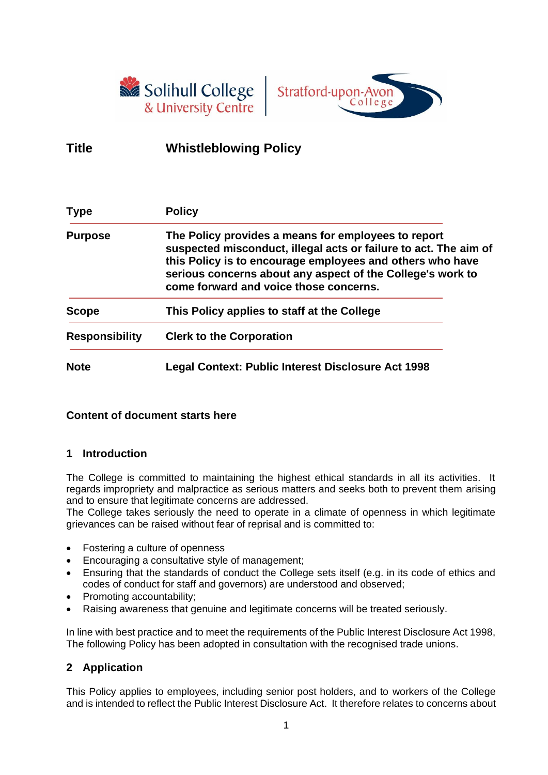



# **Title Whistleblowing Policy**

| <b>Type</b>           | <b>Policy</b>                                                                                                                                                                                                                                                                                |  |
|-----------------------|----------------------------------------------------------------------------------------------------------------------------------------------------------------------------------------------------------------------------------------------------------------------------------------------|--|
| <b>Purpose</b>        | The Policy provides a means for employees to report<br>suspected misconduct, illegal acts or failure to act. The aim of<br>this Policy is to encourage employees and others who have<br>serious concerns about any aspect of the College's work to<br>come forward and voice those concerns. |  |
| Scope                 | This Policy applies to staff at the College                                                                                                                                                                                                                                                  |  |
| <b>Responsibility</b> | <b>Clerk to the Corporation</b>                                                                                                                                                                                                                                                              |  |
| <b>Note</b>           | Legal Context: Public Interest Disclosure Act 1998                                                                                                                                                                                                                                           |  |

## **Content of document starts here**

### **1 Introduction**

The College is committed to maintaining the highest ethical standards in all its activities. It regards impropriety and malpractice as serious matters and seeks both to prevent them arising and to ensure that legitimate concerns are addressed.

The College takes seriously the need to operate in a climate of openness in which legitimate grievances can be raised without fear of reprisal and is committed to:

- Fostering a culture of openness
- Encouraging a consultative style of management;
- Ensuring that the standards of conduct the College sets itself (e.g. in its code of ethics and codes of conduct for staff and governors) are understood and observed;
- Promoting accountability;
- Raising awareness that genuine and legitimate concerns will be treated seriously.

In line with best practice and to meet the requirements of the Public Interest Disclosure Act 1998, The following Policy has been adopted in consultation with the recognised trade unions.

## **2 Application**

This Policy applies to employees, including senior post holders, and to workers of the College and is intended to reflect the Public Interest Disclosure Act. It therefore relates to concerns about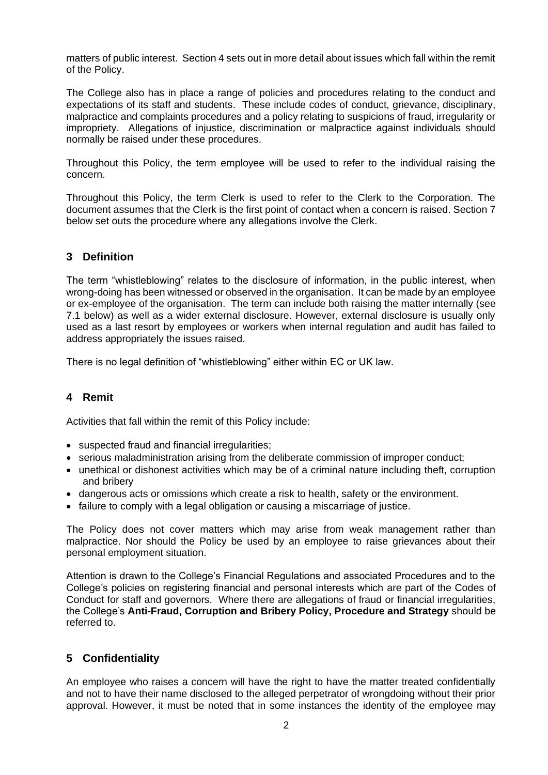matters of public interest. Section 4 sets out in more detail about issues which fall within the remit of the Policy.

The College also has in place a range of policies and procedures relating to the conduct and expectations of its staff and students. These include codes of conduct, grievance, disciplinary, malpractice and complaints procedures and a policy relating to suspicions of fraud, irregularity or impropriety. Allegations of injustice, discrimination or malpractice against individuals should normally be raised under these procedures.

Throughout this Policy, the term employee will be used to refer to the individual raising the concern.

Throughout this Policy, the term Clerk is used to refer to the Clerk to the Corporation. The document assumes that the Clerk is the first point of contact when a concern is raised. Section 7 below set outs the procedure where any allegations involve the Clerk.

## **3 Definition**

The term "whistleblowing" relates to the disclosure of information, in the public interest, when wrong-doing has been witnessed or observed in the organisation. It can be made by an employee or ex-employee of the organisation. The term can include both raising the matter internally (see 7.1 below) as well as a wider external disclosure. However, external disclosure is usually only used as a last resort by employees or workers when internal regulation and audit has failed to address appropriately the issues raised.

There is no legal definition of "whistleblowing" either within EC or UK law.

### **4 Remit**

Activities that fall within the remit of this Policy include:

- suspected fraud and financial irregularities;
- serious maladministration arising from the deliberate commission of improper conduct;
- unethical or dishonest activities which may be of a criminal nature including theft, corruption and bribery
- dangerous acts or omissions which create a risk to health, safety or the environment.
- failure to comply with a legal obligation or causing a miscarriage of justice.

The Policy does not cover matters which may arise from weak management rather than malpractice. Nor should the Policy be used by an employee to raise grievances about their personal employment situation.

Attention is drawn to the College's Financial Regulations and associated Procedures and to the College's policies on registering financial and personal interests which are part of the Codes of Conduct for staff and governors. Where there are allegations of fraud or financial irregularities, the College's **Anti-Fraud, Corruption and Bribery Policy, Procedure and Strategy** should be referred to.

### **5 Confidentiality**

An employee who raises a concern will have the right to have the matter treated confidentially and not to have their name disclosed to the alleged perpetrator of wrongdoing without their prior approval. However, it must be noted that in some instances the identity of the employee may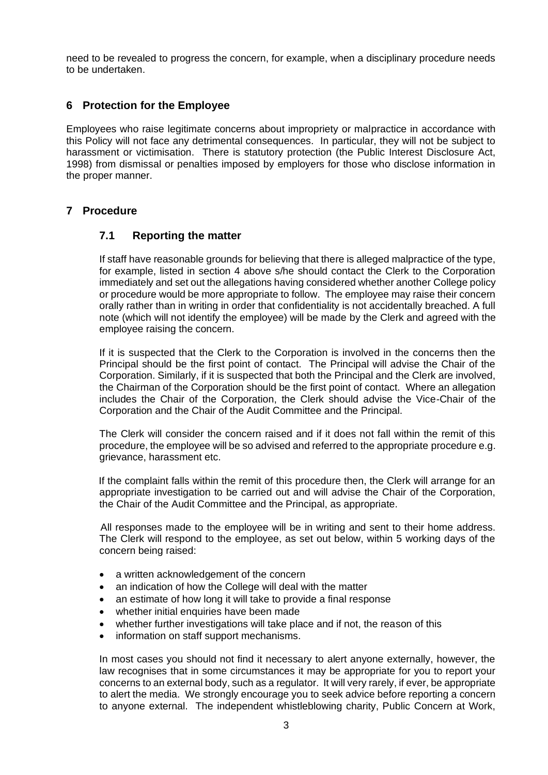need to be revealed to progress the concern, for example, when a disciplinary procedure needs to be undertaken.

#### **6 Protection for the Employee**

Employees who raise legitimate concerns about impropriety or malpractice in accordance with this Policy will not face any detrimental consequences. In particular, they will not be subject to harassment or victimisation. There is statutory protection (the Public Interest Disclosure Act, 1998) from dismissal or penalties imposed by employers for those who disclose information in the proper manner.

#### **7 Procedure**

#### **7.1 Reporting the matter**

If staff have reasonable grounds for believing that there is alleged malpractice of the type, for example, listed in section 4 above s/he should contact the Clerk to the Corporation immediately and set out the allegations having considered whether another College policy or procedure would be more appropriate to follow. The employee may raise their concern orally rather than in writing in order that confidentiality is not accidentally breached. A full note (which will not identify the employee) will be made by the Clerk and agreed with the employee raising the concern.

If it is suspected that the Clerk to the Corporation is involved in the concerns then the Principal should be the first point of contact. The Principal will advise the Chair of the Corporation. Similarly, if it is suspected that both the Principal and the Clerk are involved, the Chairman of the Corporation should be the first point of contact. Where an allegation includes the Chair of the Corporation, the Clerk should advise the Vice-Chair of the Corporation and the Chair of the Audit Committee and the Principal.

The Clerk will consider the concern raised and if it does not fall within the remit of this procedure, the employee will be so advised and referred to the appropriate procedure e.g. grievance, harassment etc.

If the complaint falls within the remit of this procedure then, the Clerk will arrange for an appropriate investigation to be carried out and will advise the Chair of the Corporation, the Chair of the Audit Committee and the Principal, as appropriate.

All responses made to the employee will be in writing and sent to their home address. The Clerk will respond to the employee, as set out below, within 5 working days of the concern being raised:

- a written acknowledgement of the concern
- an indication of how the College will deal with the matter
- an estimate of how long it will take to provide a final response
- whether initial enquiries have been made
- whether further investigations will take place and if not, the reason of this
- information on staff support mechanisms.

In most cases you should not find it necessary to alert anyone externally, however, the law recognises that in some circumstances it may be appropriate for you to report your concerns to an external body, such as a regulator. It will very rarely, if ever, be appropriate to alert the media. We strongly encourage you to seek advice before reporting a concern to anyone external. The independent whistleblowing charity, Public Concern at Work,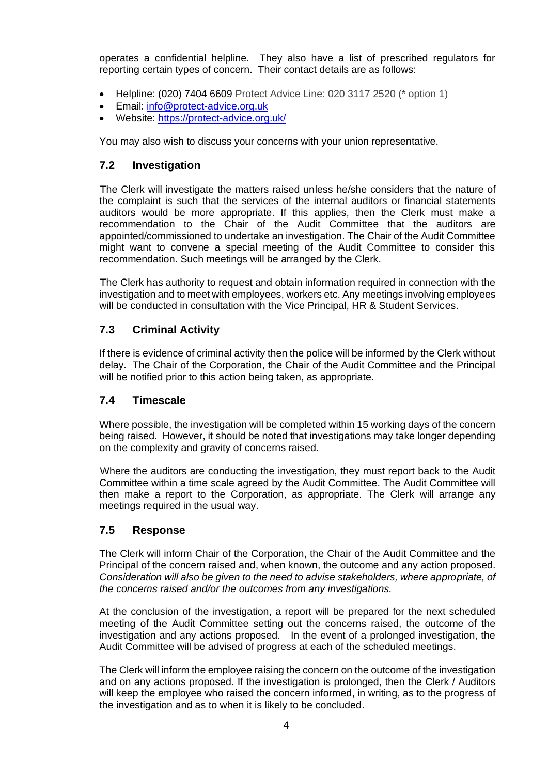operates a confidential helpline. They also have a list of prescribed regulators for reporting certain types of concern. Their contact details are as follows:

- Helpline: (020) 7404 6609 Protect Advice Line: 020 3117 2520 (\* option 1)
- Email: [info@protect-advice.org.uk](mailto:info@protect-advice.org.uk)
- Website:<https://protect-advice.org.uk/>

You may also wish to discuss your concerns with your union representative.

#### **7.2 Investigation**

The Clerk will investigate the matters raised unless he/she considers that the nature of the complaint is such that the services of the internal auditors or financial statements auditors would be more appropriate. If this applies, then the Clerk must make a recommendation to the Chair of the Audit Committee that the auditors are appointed/commissioned to undertake an investigation. The Chair of the Audit Committee might want to convene a special meeting of the Audit Committee to consider this recommendation. Such meetings will be arranged by the Clerk.

The Clerk has authority to request and obtain information required in connection with the investigation and to meet with employees, workers etc. Any meetings involving employees will be conducted in consultation with the Vice Principal, HR & Student Services.

### **7.3 Criminal Activity**

If there is evidence of criminal activity then the police will be informed by the Clerk without delay. The Chair of the Corporation, the Chair of the Audit Committee and the Principal will be notified prior to this action being taken, as appropriate.

### **7.4 Timescale**

Where possible, the investigation will be completed within 15 working days of the concern being raised. However, it should be noted that investigations may take longer depending on the complexity and gravity of concerns raised.

Where the auditors are conducting the investigation, they must report back to the Audit Committee within a time scale agreed by the Audit Committee. The Audit Committee will then make a report to the Corporation, as appropriate. The Clerk will arrange any meetings required in the usual way.

### **7.5 Response**

The Clerk will inform Chair of the Corporation, the Chair of the Audit Committee and the Principal of the concern raised and, when known, the outcome and any action proposed. *Consideration will also be given to the need to advise stakeholders, where appropriate, of the concerns raised and/or the outcomes from any investigations.*

At the conclusion of the investigation, a report will be prepared for the next scheduled meeting of the Audit Committee setting out the concerns raised, the outcome of the investigation and any actions proposed. In the event of a prolonged investigation, the Audit Committee will be advised of progress at each of the scheduled meetings.

The Clerk will inform the employee raising the concern on the outcome of the investigation and on any actions proposed. If the investigation is prolonged, then the Clerk / Auditors will keep the employee who raised the concern informed, in writing, as to the progress of the investigation and as to when it is likely to be concluded.